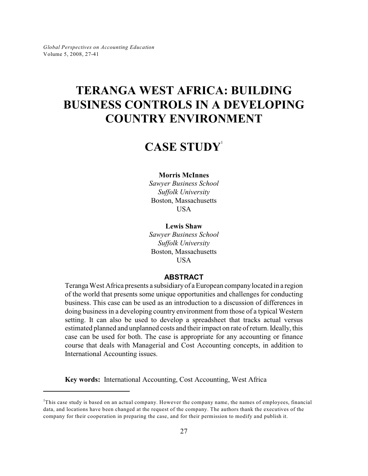# **TERANGA WEST AFRICA: BUILDING BUSINESS CONTROLS IN A DEVELOPING COUNTRY ENVIRONMENT**

## **CASE STUDY**<sup>1</sup>

#### **Morris McInnes**

*Sawyer Business School Suffolk University* Boston, Massachusetts **USA** 

#### **Lewis Shaw**

*Sawyer Business School Suffolk University* Boston, Massachusetts **USA** 

#### **ABSTRACT**

Teranga West Africa presents a subsidiary of a European company located in a region of the world that presents some unique opportunities and challenges for conducting business. This case can be used as an introduction to a discussion of differences in doing business in a developing country environment from those of a typical Western setting. It can also be used to develop a spreadsheet that tracks actual versus estimated planned and unplanned costs and their impact on rate of return. Ideally, this case can be used for both. The case is appropriate for any accounting or finance course that deals with Managerial and Cost Accounting concepts, in addition to International Accounting issues.

**Key words:** International Accounting, Cost Accounting, West Africa

 $<sup>1</sup>$ This case study is based on an actual company. However the company name, the names of employees, financial</sup> data, and locations have been changed at the request of the company. The authors thank the executives of the company for their cooperation in preparing the case, and for their permission to modify and publish it.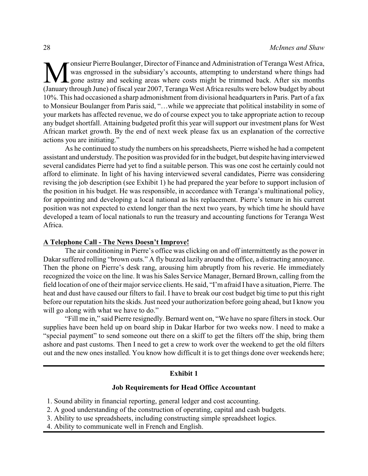M onsieur Pierre Boulanger, Director of Finance and Administration of Teranga West Africa,<br>We was engrossed in the subsidiary's accounts, attempting to understand where things had<br>gone astray and seeking areas where costs onsieur Pierre Boulanger, Director of Finance and Administration of Teranga West Africa, was engrossed in the subsidiary's accounts, attempting to understand where things had gone astray and seeking areas where costs might be trimmed back. After six months 10%. This had occasioned a sharp admonishment from divisional headquarters in Paris. Part of a fax to Monsieur Boulanger from Paris said, "…while we appreciate that political instability in some of your markets has affected revenue, we do of course expect you to take appropriate action to recoup any budget shortfall. Attaining budgeted profit this year will support our investment plans for West African market growth. By the end of next week please fax us an explanation of the corrective actions you are initiating."

As he continued to study the numbers on his spreadsheets, Pierre wished he had a competent assistant and understudy. The position was provided for in the budget, but despite having interviewed several candidates Pierre had yet to find a suitable person. This was one cost he certainly could not afford to eliminate. In light of his having interviewed several candidates, Pierre was considering revising the job description (see Exhibit 1) he had prepared the year before to support inclusion of the position in his budget. He was responsible, in accordance with Teranga's multinational policy, for appointing and developing a local national as his replacement. Pierre's tenure in his current position was not expected to extend longer than the next two years, by which time he should have developed a team of local nationals to run the treasury and accounting functions for Teranga West Africa.

#### **A Telephone Call - The News Doesn't Improve!**

The air conditioning in Pierre's office was clicking on and off intermittently as the power in Dakar suffered rolling "brown outs." A fly buzzed lazily around the office, a distracting annoyance. Then the phone on Pierre's desk rang, arousing him abruptly from his reverie. He immediately recognized the voice on the line. It was his Sales Service Manager, Bernard Brown, calling from the field location of one of their major service clients. He said, "I'm afraid I have a situation, Pierre. The heat and dust have caused our filters to fail. I have to break our cost budget big time to put this right before our reputation hits the skids. Just need your authorization before going ahead, but I know you will go along with what we have to do."

"Fill me in," said Pierre resignedly. Bernard went on, "We have no spare filters in stock. Our supplies have been held up on board ship in Dakar Harbor for two weeks now. I need to make a "special payment" to send someone out there on a skiff to get the filters off the ship, bring them ashore and past customs. Then I need to get a crew to work over the weekend to get the old filters out and the new ones installed. You know how difficult it is to get things done over weekends here;

## **Exhibit 1**

#### **Job Requirements for Head Office Accountant**

- 1. Sound ability in financial reporting, general ledger and cost accounting.
- 2. A good understanding of the construction of operating, capital and cash budgets.
- 3. Ability to use spreadsheets, including constructing simple spreadsheet logics.
- 4. Ability to communicate well in French and English.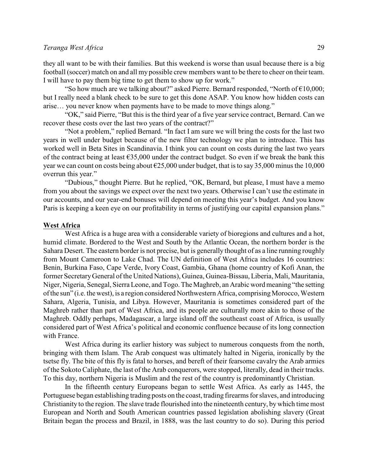they all want to be with their families. But this weekend is worse than usual because there is a big football (soccer) match on and all my possible crew members want to be there to cheer on their team. I will have to pay them big time to get them to show up for work."

"So how much are we talking about?" asked Pierre. Bernard responded, "North of  $€10,000;$ but I really need a blank check to be sure to get this done ASAP. You know how hidden costs can arise… you never know when payments have to be made to move things along."

"OK," said Pierre, "But this is the third year of a five year service contract, Bernard. Can we recover these costs over the last two years of the contract?"

"Not a problem," replied Bernard. "In fact I am sure we will bring the costs for the last two years in well under budget because of the new filter technology we plan to introduce. This has worked well in Beta Sites in Scandinavia. I think you can count on costs during the last two years of the contract being at least €35,000 under the contract budget. So even if we break the bank this year we can count on costs being about  $\epsilon$ 25,000 under budget, that is to say 35,000 minus the 10,000 overrun this year."

"Dubious," thought Pierre. But he replied, "OK, Bernard, but please, I must have a memo from you about the savings we expect over the next two years. Otherwise I can't use the estimate in our accounts, and our year-end bonuses will depend on meeting this year's budget. And you know Paris is keeping a keen eye on our profitability in terms of justifying our capital expansion plans."

#### **West Africa**

West Africa is a huge area with a considerable variety of bioregions and cultures and a hot, humid climate. Bordered to the West and South by the Atlantic Ocean, the northern border is the Sahara Desert. The eastern border is not precise, but is generally thought of as a line running roughly from Mount Cameroon to Lake Chad. The UN definition of West Africa includes 16 countries: Benin, Burkina Faso, Cape Verde, Ivory Coast, Gambia, Ghana (home country of Kofi Anan, the former SecretaryGeneral of the United Nations), Guinea, Guinea-Bissau, Liberia, Mali, Mauritania, Niger, Nigeria, Senegal, Sierra Leone, and Togo. The Maghreb, an Arabic word meaning "the setting of the sun" (i.e. the west), is a region considered Northwestern Africa, comprising Morocco, Western Sahara, Algeria, Tunisia, and Libya. However, Mauritania is sometimes considered part of the Maghreb rather than part of West Africa, and its people are culturally more akin to those of the Maghreb. Oddly perhaps, Madagascar, a large island off the southeast coast of Africa, is usually considered part of West Africa's political and economic confluence because of its long connection with France.

West Africa during its earlier history was subject to numerous conquests from the north, bringing with them Islam. The Arab conquest was ultimately halted in Nigeria, ironically by the tsetse fly. The bite of this fly is fatal to horses, and bereft of their fearsome cavalry the Arab armies of the Sokoto Caliphate, the last of the Arab conquerors, were stopped, literally, dead in their tracks. To this day, northern Nigeria is Muslim and the rest of the country is predominantly Christian.

In the fifteenth century Europeans began to settle West Africa. As early as 1445, the Portuguese began establishing trading posts on the coast, trading firearms for slaves, and introducing Christianity to the region. The slave trade flourished into the nineteenth century, by which time most European and North and South American countries passed legislation abolishing slavery (Great Britain began the process and Brazil, in 1888, was the last country to do so). During this period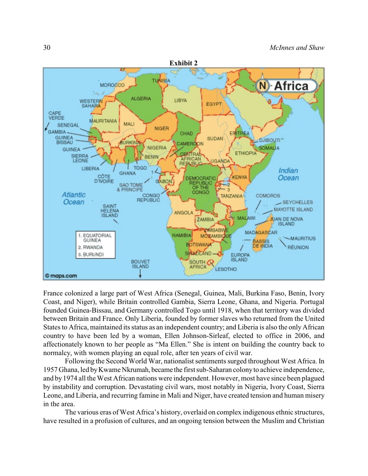

France colonized a large part of West Africa (Senegal, Guinea, Mali, Burkina Faso, Benin, Ivory Coast, and Niger), while Britain controlled Gambia, Sierra Leone, Ghana, and Nigeria. Portugal founded Guinea-Bissau, and Germany controlled Togo until 1918, when that territory was divided between Britain and France. Only Liberia, founded by former slaves who returned from the United States to Africa, maintained its status as an independent country; and Liberia is also the only African country to have been led by a woman, Ellen Johnson-Sirleaf, elected to office in 2006, and affectionately known to her people as "Ma Ellen." She is intent on building the country back to normalcy, with women playing an equal role, after ten years of civil war.

Following the Second World War, nationalist sentiments surged throughout West Africa. In 1957 Ghana, led by Kwame Nkrumah, became the first sub-Saharan colony to achieve independence, and by 1974 all the West African nations were independent. However, most have since been plagued by instability and corruption. Devastating civil wars, most notably in Nigeria, Ivory Coast, Sierra Leone, and Liberia, and recurring famine in Mali and Niger, have created tension and human misery in the area.

The various eras of West Africa's history, overlaid on complex indigenous ethnic structures, have resulted in a profusion of cultures, and an ongoing tension between the Muslim and Christian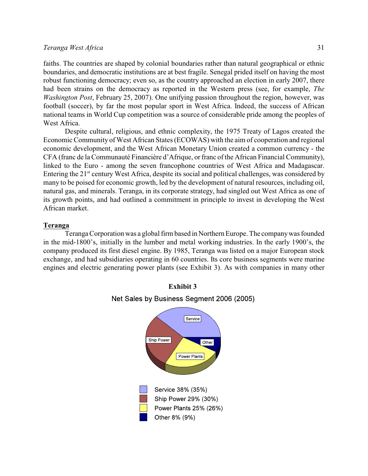faiths. The countries are shaped by colonial boundaries rather than natural geographical or ethnic boundaries, and democratic institutions are at best fragile. Senegal prided itself on having the most robust functioning democracy; even so, as the country approached an election in early 2007, there had been strains on the democracy as reported in the Western press (see, for example, *The Washington Post*, February 25, 2007). One unifying passion throughout the region, however, was football (soccer), by far the most popular sport in West Africa. Indeed, the success of African national teams in World Cup competition was a source of considerable pride among the peoples of West Africa.

Despite cultural, religious, and ethnic complexity, the 1975 Treaty of Lagos created the Economic Community of West African States (ECOWAS) with the aim of cooperation and regional economic development, and the West African Monetary Union created a common currency - the CFA (franc de la Communauté Financière d'Afrique, or franc of the African Financial Community), linked to the Euro - among the seven francophone countries of West Africa and Madagascar. Entering the  $21<sup>st</sup>$  century West Africa, despite its social and political challenges, was considered by many to be poised for economic growth, led by the development of natural resources, including oil, natural gas, and minerals. Teranga, in its corporate strategy, had singled out West Africa as one of its growth points, and had outlined a commitment in principle to invest in developing the West African market.

## **Teranga**

Teranga Corporation was a global firm based in Northern Europe. The company was founded in the mid-1800's, initially in the lumber and metal working industries. In the early 1900's, the company produced its first diesel engine. By 1985, Teranga was listed on a major European stock exchange, and had subsidiaries operating in 60 countries. Its core business segments were marine engines and electric generating power plants (see Exhibit 3). As with companies in many other



#### **Exhibit 3**

Net Sales by Business Segment 2006 (2005)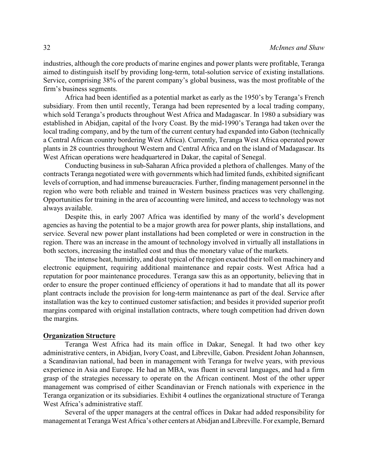industries, although the core products of marine engines and power plants were profitable, Teranga aimed to distinguish itself by providing long-term, total-solution service of existing installations. Service, comprising 38% of the parent company's global business, was the most profitable of the firm's business segments.

Africa had been identified as a potential market as early as the 1950's by Teranga's French subsidiary. From then until recently, Teranga had been represented by a local trading company, which sold Teranga's products throughout West Africa and Madagascar. In 1980 a subsidiary was established in Abidjan, capital of the Ivory Coast. By the mid-1990's Teranga had taken over the local trading company, and by the turn of the current century had expanded into Gabon (technically a Central African country bordering West Africa). Currently, Teranga West Africa operated power plants in 28 countries throughout Western and Central Africa and on the island of Madagascar. Its West African operations were headquartered in Dakar, the capital of Senegal.

Conducting business in sub-Saharan Africa provided a plethora of challenges. Many of the contracts Teranga negotiated were with governments which had limited funds, exhibited significant levels of corruption, and had immense bureaucracies. Further, finding management personnel in the region who were both reliable and trained in Western business practices was very challenging. Opportunities for training in the area of accounting were limited, and access to technology was not always available.

Despite this, in early 2007 Africa was identified by many of the world's development agencies as having the potential to be a major growth area for power plants, ship installations, and service. Several new power plant installations had been completed or were in construction in the region. There was an increase in the amount of technology involved in virtually all installations in both sectors, increasing the installed cost and thus the monetary value of the markets.

The intense heat, humidity, and dust typical of the region exacted their toll on machinery and electronic equipment, requiring additional maintenance and repair costs. West Africa had a reputation for poor maintenance procedures. Teranga saw this as an opportunity, believing that in order to ensure the proper continued efficiency of operations it had to mandate that all its power plant contracts include the provision for long-term maintenance as part of the deal. Service after installation was the key to continued customer satisfaction; and besides it provided superior profit margins compared with original installation contracts, where tough competition had driven down the margins.

#### **Organization Structure**

Teranga West Africa had its main office in Dakar, Senegal. It had two other key administrative centers, in Abidjan, Ivory Coast, and Libreville, Gabon. President Johan Johannsen, a Scandinavian national, had been in management with Teranga for twelve years, with previous experience in Asia and Europe. He had an MBA, was fluent in several languages, and had a firm grasp of the strategies necessary to operate on the African continent. Most of the other upper management was comprised of either Scandinavian or French nationals with experience in the Teranga organization or its subsidiaries. Exhibit 4 outlines the organizational structure of Teranga West Africa's administrative staff.

Several of the upper managers at the central offices in Dakar had added responsibility for management at Teranga West Africa's other centers at Abidjan and Libreville. For example, Bernard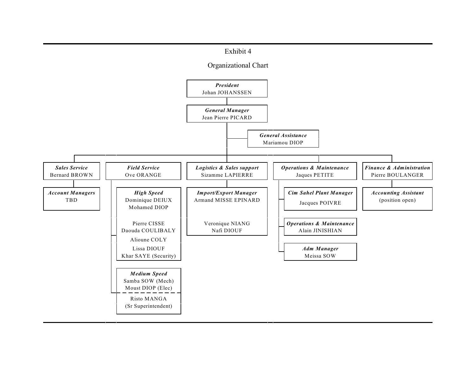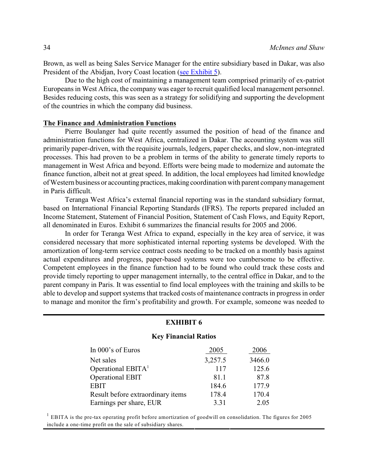Brown, as well as being Sales Service Manager for the entire subsidiary based in Dakar, was also President of the Abidjan, Ivory Coast location [\(see Exhibit 5](http://bryant1.bryant.edu/~gpae/Vol5/Teranga_West_Africa/Exhibit5.pdf)).

Due to the high cost of maintaining a management team comprised primarily of ex-patriot Europeans in West Africa, the company was eager to recruit qualified local management personnel. Besides reducing costs, this was seen as a strategy for solidifying and supporting the development of the countries in which the company did business.

#### **The Finance and Administration Functions**

Pierre Boulanger had quite recently assumed the position of head of the finance and administration functions for West Africa, centralized in Dakar. The accounting system was still primarily paper-driven, with the requisite journals, ledgers, paper checks, and slow, non-integrated processes. This had proven to be a problem in terms of the ability to generate timely reports to management in West Africa and beyond. Efforts were being made to modernize and automate the finance function, albeit not at great speed. In addition, the local employees had limited knowledge of Western business or accounting practices, making coordination with parent company management in Paris difficult.

Teranga West Africa's external financial reporting was in the standard subsidiary format, based on International Financial Reporting Standards (IFRS). The reports prepared included an Income Statement, Statement of Financial Position, Statement of Cash Flows, and Equity Report, all denominated in Euros. Exhibit 6 summarizes the financial results for 2005 and 2006.

In order for Teranga West Africa to expand, especially in the key area of service, it was considered necessary that more sophisticated internal reporting systems be developed. With the amortization of long-term service contract costs needing to be tracked on a monthly basis against actual expenditures and progress, paper-based systems were too cumbersome to be effective. Competent employees in the finance function had to be found who could track these costs and provide timely reporting to upper management internally, to the central office in Dakar, and to the parent company in Paris. It was essential to find local employees with the training and skills to be able to develop and support systems that tracked costs of maintenance contracts in progress in order to manage and monitor the firm's profitability and growth. For example, someone was needed to

#### **EXHIBIT 6**

#### **Key Financial Ratios**

| In 000's of Euros                 | 2005    | 2006   |
|-----------------------------------|---------|--------|
| Net sales                         | 3,257.5 | 3466.0 |
| Operational EBIT $A1$             | 117     | 125.6  |
| Operational EBIT                  | 81.1    | 87.8   |
| <b>EBIT</b>                       | 184.6   | 177.9  |
| Result before extraordinary items | 178.4   | 170.4  |
| Earnings per share, EUR           | 3.31    | 2.05   |

 $^{1}$  EBITA is the pre-tax operating profit before amortization of goodwill on consolidation. The figures for 2005 include a one-time profit on the sale of subsidiary shares.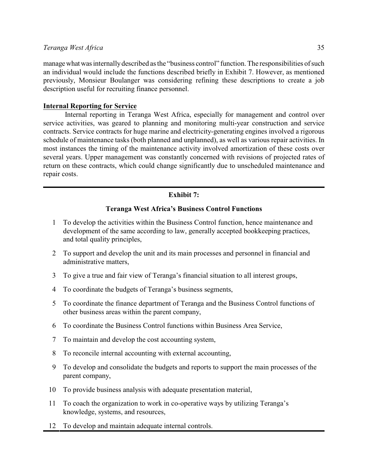manage what was internally described as the "business control" function. The responsibilities of such an individual would include the functions described briefly in Exhibit 7. However, as mentioned previously, Monsieur Boulanger was considering refining these descriptions to create a job description useful for recruiting finance personnel.

## **Internal Reporting for Service**

Internal reporting in Teranga West Africa, especially for management and control over service activities, was geared to planning and monitoring multi-year construction and service contracts. Service contracts for huge marine and electricity-generating engines involved a rigorous schedule of maintenance tasks (both planned and unplanned), as well as various repair activities. In most instances the timing of the maintenance activity involved amortization of these costs over several years. Upper management was constantly concerned with revisions of projected rates of return on these contracts, which could change significantly due to unscheduled maintenance and repair costs.

## **Exhibit 7:**

## **Teranga West Africa's Business Control Functions**

- 1 To develop the activities within the Business Control function, hence maintenance and development of the same according to law, generally accepted bookkeeping practices, and total quality principles,
- 2 To support and develop the unit and its main processes and personnel in financial and administrative matters,
- 3 To give a true and fair view of Teranga's financial situation to all interest groups,
- 4 To coordinate the budgets of Teranga's business segments,
- 5 To coordinate the finance department of Teranga and the Business Control functions of other business areas within the parent company,
- 6 To coordinate the Business Control functions within Business Area Service,
- 7 To maintain and develop the cost accounting system,
- 8 To reconcile internal accounting with external accounting,
- 9 To develop and consolidate the budgets and reports to support the main processes of the parent company,
- 10 To provide business analysis with adequate presentation material,
- 11 To coach the organization to work in co-operative ways by utilizing Teranga's knowledge, systems, and resources,
- 12 To develop and maintain adequate internal controls.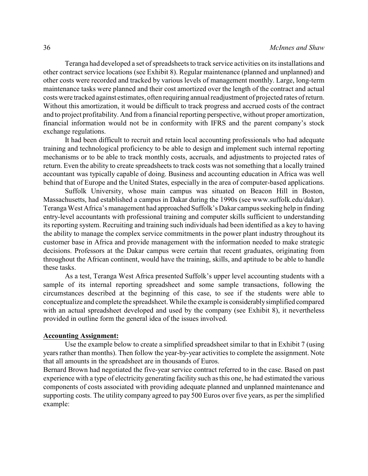Teranga had developed a set of spreadsheets to track service activities on its installations and other contract service locations (see Exhibit 8). Regular maintenance (planned and unplanned) and other costs were recorded and tracked by various levels of management monthly. Large, long-term maintenance tasks were planned and their cost amortized over the length of the contract and actual costs were tracked against estimates, often requiring annual readjustment of projected rates of return. Without this amortization, it would be difficult to track progress and accrued costs of the contract and to project profitability. And from a financial reporting perspective, without proper amortization, financial information would not be in conformity with IFRS and the parent company's stock exchange regulations.

It had been difficult to recruit and retain local accounting professionals who had adequate training and technological proficiency to be able to design and implement such internal reporting mechanisms or to be able to track monthly costs, accruals, and adjustments to projected rates of return. Even the ability to create spreadsheets to track costs was not something that a locally trained accountant was typically capable of doing. Business and accounting education in Africa was well behind that of Europe and the United States, especially in the area of computer-based applications.

Suffolk University, whose main campus was situated on Beacon Hill in Boston, Massachusetts, had established a campus in Dakar during the 1990s (see www.suffolk.edu/dakar). Teranga West Africa's management had approached Suffolk's Dakar campus seeking help in finding entry-level accountants with professional training and computer skills sufficient to understanding its reporting system. Recruiting and training such individuals had been identified as a key to having the ability to manage the complex service commitments in the power plant industry throughout its customer base in Africa and provide management with the information needed to make strategic decisions. Professors at the Dakar campus were certain that recent graduates, originating from throughout the African continent, would have the training, skills, and aptitude to be able to handle these tasks.

As a test, Teranga West Africa presented Suffolk's upper level accounting students with a sample of its internal reporting spreadsheet and some sample transactions, following the circumstances described at the beginning of this case, to see if the students were able to conceptualize and complete the spreadsheet. While the example is considerably simplified compared with an actual spreadsheet developed and used by the company (see Exhibit 8), it nevertheless provided in outline form the general idea of the issues involved.

## **Accounting Assignment:**

Use the example below to create a simplified spreadsheet similar to that in Exhibit 7 (using years rather than months). Then follow the year-by-year activities to complete the assignment. Note that all amounts in the spreadsheet are in thousands of Euros.

Bernard Brown had negotiated the five-year service contract referred to in the case. Based on past experience with a type of electricity generating facility such as this one, he had estimated the various components of costs associated with providing adequate planned and unplanned maintenance and supporting costs. The utility company agreed to pay 500 Euros over five years, as per the simplified example: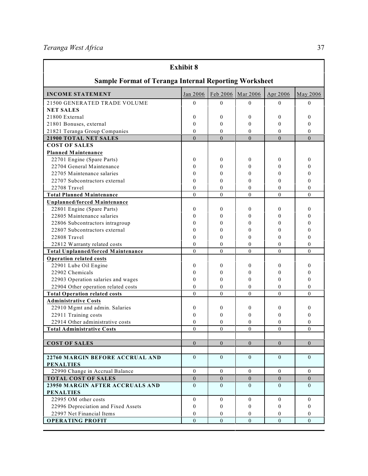*Teranga West Africa* 37

| <b>Exhibit 8</b>                                             |                  |                |                |                  |                  |  |  |  |  |
|--------------------------------------------------------------|------------------|----------------|----------------|------------------|------------------|--|--|--|--|
| <b>Sample Format of Teranga Internal Reporting Worksheet</b> |                  |                |                |                  |                  |  |  |  |  |
| <b>INCOME STATEMENT</b>                                      | Jan 2006         | Feb 2006       | Mar 2006       | Apr 2006         | May 2006         |  |  |  |  |
| 21500 GENERATED TRADE VOLUME                                 | $\theta$         | 0              | $\Omega$       | $\Omega$         | $\Omega$         |  |  |  |  |
| <b>NET SALES</b>                                             |                  |                |                |                  |                  |  |  |  |  |
| 21800 External                                               | 0                | 0              | $\mathbf{0}$   | $\mathbf{0}$     | $\boldsymbol{0}$ |  |  |  |  |
| 21801 Bonuses, external                                      | 0                | 0              | $\mathbf{0}$   | $\Omega$         | $\boldsymbol{0}$ |  |  |  |  |
| 21821 Teranga Group Companies                                | $\mathbf{0}$     | $\theta$       | $\theta$       | $\theta$         | $\theta$         |  |  |  |  |
| 21900 TOTAL NET SALES                                        | $\theta$         | $\Omega$       | $\theta$       | $\Omega$         | $\Omega$         |  |  |  |  |
| <b>COST OF SALES</b>                                         |                  |                |                |                  |                  |  |  |  |  |
| Planned Maintenance                                          |                  |                |                |                  |                  |  |  |  |  |
| 22701 Engine (Spare Parts)                                   | 0                | 0              | 0              | $\boldsymbol{0}$ | 0                |  |  |  |  |
| 22704 General Maintenance                                    | $\mathbf{0}$     | 0              | $\mathbf{0}$   | $\boldsymbol{0}$ | $\boldsymbol{0}$ |  |  |  |  |
| 22705 Maintenance salaries                                   | $\mathbf{0}$     | 0              | $\theta$       | $\Omega$         | $\theta$         |  |  |  |  |
| 22707 Subcontractors external                                | $\mathbf{0}$     | $\theta$       | $\theta$       | $\Omega$         | $\theta$         |  |  |  |  |
| 22708 Travel                                                 | $\mathbf{0}$     | $\theta$       | $\theta$       | $\mathbf{0}$     | $\theta$         |  |  |  |  |
| <b>Total Planned Maintenance</b>                             | $\mathbf{0}$     | $\theta$       | $\mathbf{0}$   | $\theta$         | $\theta$         |  |  |  |  |
| Unplanned/forced Maintenance                                 |                  |                |                |                  |                  |  |  |  |  |
| 22801 Engine (Spare Parts)                                   | 0                | 0              | $\mathbf{0}$   | $\Omega$         | $\boldsymbol{0}$ |  |  |  |  |
| 22805 Maintenance salaries                                   | $\boldsymbol{0}$ | 0              | $\theta$       | $\theta$         | 0                |  |  |  |  |
| 22806 Subcontractors intragroup                              | $\mathbf{0}$     | 0              | $\theta$       | $\Omega$         | 0                |  |  |  |  |
| 22807 Subcontractors external                                | $\boldsymbol{0}$ | 0              | $\theta$       | $\Omega$         | 0                |  |  |  |  |
| 22808 Travel                                                 | $\mathbf{0}$     | $\theta$       | $\theta$       | $\theta$         | 0                |  |  |  |  |
| 22812 Warranty related costs                                 | $\mathbf{0}$     | $\mathbf{0}$   | $\theta$       | $\theta$         | $\theta$         |  |  |  |  |
| <b>Total Unplanned/forced Maintenance</b>                    | $\mathbf{0}$     | $\overline{0}$ | $\overline{0}$ | $\theta$         | $\theta$         |  |  |  |  |
| <b>Operation related costs</b>                               |                  |                |                |                  |                  |  |  |  |  |
| 22901 Lube Oil Engine                                        | $\mathbf{0}$     | 0              | $\Omega$       | $\Omega$         | $\theta$         |  |  |  |  |
| 22902 Chemicals                                              | $\mathbf{0}$     | 0              | 0              | $\theta$         | 0                |  |  |  |  |
| 22903 Operation salaries and wages                           | $\mathbf{0}$     | 0              | $\Omega$       | $\Omega$         | $\theta$         |  |  |  |  |
| 22904 Other operation related costs                          | $\mathbf{0}$     | $\mathbf{0}$   | $\theta$       | $\theta$         | $\mathbf{0}$     |  |  |  |  |
| <b>Total Operation related costs</b>                         | $\mathbf{0}$     | $\mathbf{0}$   | $\mathbf{0}$   | $\mathbf{0}$     | $\theta$         |  |  |  |  |
| <b>Administrative Costs</b>                                  |                  |                |                |                  |                  |  |  |  |  |
| 22910 Mgmt and admin. Salaries                               | 0                | 0              | $\mathbf{0}$   | $\mathbf{0}$     | 0                |  |  |  |  |
| 22911 Training costs                                         | $\boldsymbol{0}$ | 0              | $\mathbf{0}$   | $\mathbf{0}$     | $\boldsymbol{0}$ |  |  |  |  |
| 22914 Other administrative costs                             | $\boldsymbol{0}$ | 0              | $\mathbf{0}$   | $\boldsymbol{0}$ | 0                |  |  |  |  |
| <b>Total Administrative Costs</b>                            | $\theta$         | $\theta$       | $\mathbf{0}$   | $\theta$         | $\mathbf{0}$     |  |  |  |  |
|                                                              |                  |                |                |                  |                  |  |  |  |  |
| <b>COST OF SALES</b>                                         | $\theta$         | $\Omega$       | $\theta$       | $\theta$         | $\theta$         |  |  |  |  |
|                                                              |                  |                |                |                  |                  |  |  |  |  |
| 22760 MARGIN BEFORE ACCRUAL AND<br><b>PENALTIES</b>          | $\theta$         | $\Omega$       | $\theta$       | $\theta$         | $\theta$         |  |  |  |  |
| 22990 Change in Accrual Balance                              | $\theta$         | $\Omega$       | $\mathbf{0}$   | $\mathbf{0}$     | $\mathbf{0}$     |  |  |  |  |
| <b>TOTAL COST OF SALES</b>                                   | $\mathbf{0}$     | $\mathbf{0}$   | $\overline{0}$ | $\overline{0}$   | $\overline{0}$   |  |  |  |  |
| 23950 MARGIN AFTER ACCRUALS AND                              | $\theta$         | $\Omega$       | $\theta$       | $\theta$         | $\theta$         |  |  |  |  |
| <b>PENALTIES</b>                                             |                  |                |                |                  |                  |  |  |  |  |
| 22995 OM other costs                                         | $\mathbf{0}$     | $\overline{0}$ | $\mathbf{0}$   | $\mathbf{0}$     | $\mathbf{0}$     |  |  |  |  |
| 22996 Depreciation and Fixed Assets                          | $\boldsymbol{0}$ | $\mathbf{0}$   | $\mathbf{0}$   | $\mathbf{0}$     | $\theta$         |  |  |  |  |
| 22997 Net Financial Items                                    | $\mathbf{0}$     | $\mathbf{0}$   | $\mathbf{0}$   | $\theta$         | $\theta$         |  |  |  |  |
| <b>OPERATING PROFIT</b>                                      | $\mathbf{0}$     | $\Omega$       | $\theta$       | $\theta$         | $\theta$         |  |  |  |  |

ŧ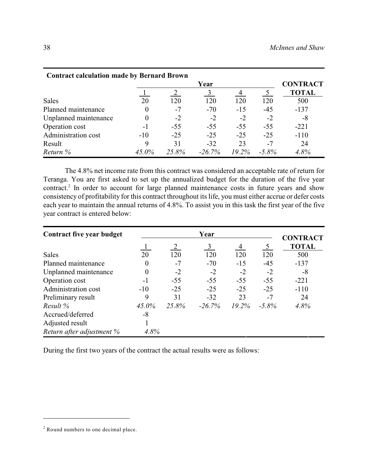| <b>Contract calculation made by Bernard Brown</b> |       |       |           |          |          |              |
|---------------------------------------------------|-------|-------|-----------|----------|----------|--------------|
|                                                   |       | Year  |           |          |          |              |
|                                                   |       |       |           |          |          | <b>TOTAL</b> |
| <b>Sales</b>                                      | 20    | 120   | 120       | 120      | 120      | 500          |
| Planned maintenance                               |       | $-7$  | $-70$     | $-15$    | $-45$    | $-137$       |
| Unplanned maintenance                             |       | $-2$  | $-2$      | $-2$     | $-2$     | $-8$         |
| Operation cost                                    | -1    | $-55$ | $-55$     | $-55$    | $-55$    | $-221$       |
| Administration cost                               | $-10$ | $-25$ | $-25$     | $-25$    | $-25$    | $-110$       |
| Result                                            | 9     | 31    | $-32$     | 23       | $-7$     | 24           |
| Return %                                          | 45.0% | 25.8% | $-26.7\%$ | $19.2\%$ | $-5.8\%$ | 4.8%         |

The 4.8% net income rate from this contract was considered an acceptable rate of return for Teranga. You are first asked to set up the annualized budget for the duration of the five year contract.<sup>2</sup> In order to account for large planned maintenance costs in future years and show consistency of profitability for this contract throughout its life, you must either accrue or defer costs each year to maintain the annual returns of 4.8%. To assist you in this task the first year of the five year contract is entered below:

| Contract five year budget |          | <b>CONTRACT</b> |                |          |                |              |
|---------------------------|----------|-----------------|----------------|----------|----------------|--------------|
|                           |          |                 | $\mathfrak{Z}$ | 4        | 5 <sup>5</sup> | <b>TOTAL</b> |
| <b>Sales</b>              | 20       | 120             | 120            | 120      | 120            | 500          |
| Planned maintenance       | $\Omega$ | $-7$            | $-70$          | $-15$    | $-45$          | $-137$       |
| Unplanned maintenance     | $\Omega$ | $-2$            | $-2$           | $-2$     | $-2$           | -8           |
| Operation cost            | $-1$     | $-55$           | $-55$          | $-55$    | $-55$          | $-221$       |
| Administration cost       | $-10$    | $-25$           | $-25$          | $-25$    | $-25$          | $-110$       |
| Preliminary result        | 9        | 31              | $-32$          | 23       | $-7$           | 24           |
| Result $\%$               | $45.0\%$ | 25.8%           | $-26.7\%$      | $19.2\%$ | $-5.8\%$       | 4.8%         |
| Accrued/deferred          | -8       |                 |                |          |                |              |
| Adjusted result           |          |                 |                |          |                |              |
| Return after adjustment % | 4.8%     |                 |                |          |                |              |

During the first two years of the contract the actual results were as follows:

 $2$  Round numbers to one decimal place.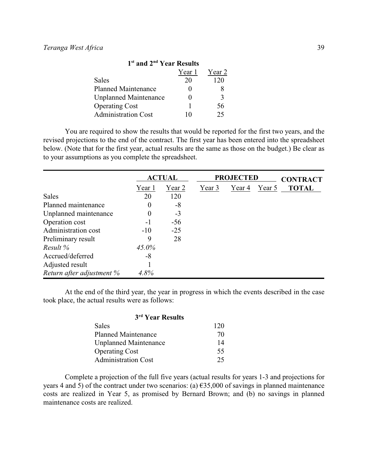| 1 <sup>st</sup> and 2 <sup>nd</sup> Year Results |        |              |  |  |  |  |
|--------------------------------------------------|--------|--------------|--|--|--|--|
|                                                  | Year 1 | Year 2       |  |  |  |  |
| Sales                                            | 20     | 120          |  |  |  |  |
| <b>Planned Maintenance</b>                       | 0      | 8            |  |  |  |  |
| <b>Unplanned Maintenance</b>                     |        | $\mathbf{3}$ |  |  |  |  |
| <b>Operating Cost</b>                            | 1      | 56           |  |  |  |  |
| <b>Administration Cost</b>                       | 10     | 25           |  |  |  |  |

You are required to show the results that would be reported for the first two years, and the revised projections to the end of the contract. The first year has been entered into the spreadsheet below. (Note that for the first year, actual results are the same as those on the budget.) Be clear as to your assumptions as you complete the spreadsheet.

|                           | <b>ACTUAL</b> |        |        | <b>PROJECTED</b> |        |                                 |  |
|---------------------------|---------------|--------|--------|------------------|--------|---------------------------------|--|
|                           | Year 1        | Year 2 | Year 3 | Year 4           | Year 5 | <b>CONTRACT</b><br><b>TOTAL</b> |  |
| <b>Sales</b>              | 20            | 120    |        |                  |        |                                 |  |
| Planned maintenance       | $\theta$      | -8     |        |                  |        |                                 |  |
| Unplanned maintenance     | $\theta$      | $-3$   |        |                  |        |                                 |  |
| Operation cost            | $-1$          | $-56$  |        |                  |        |                                 |  |
| Administration cost       | $-10$         | $-25$  |        |                  |        |                                 |  |
| Preliminary result        | 9             | 28     |        |                  |        |                                 |  |
| Result $%$                | $45.0\%$      |        |        |                  |        |                                 |  |
| Accrued/deferred          | $-8$          |        |        |                  |        |                                 |  |
| Adjusted result           |               |        |        |                  |        |                                 |  |
| Return after adjustment % | 4.8%          |        |        |                  |        |                                 |  |

At the end of the third year, the year in progress in which the events described in the case took place, the actual results were as follows:

| 3 <sup>rd</sup> Year Results |     |  |  |  |
|------------------------------|-----|--|--|--|
| Sales                        | 120 |  |  |  |
| <b>Planned Maintenance</b>   | 70  |  |  |  |
| <b>Unplanned Maintenance</b> | 14  |  |  |  |
| <b>Operating Cost</b>        | 55  |  |  |  |
| <b>Administration Cost</b>   | 25  |  |  |  |

Complete a projection of the full five years (actual results for years 1-3 and projections for years 4 and 5) of the contract under two scenarios: (a)  $\epsilon$ 35,000 of savings in planned maintenance costs are realized in Year 5, as promised by Bernard Brown; and (b) no savings in planned maintenance costs are realized.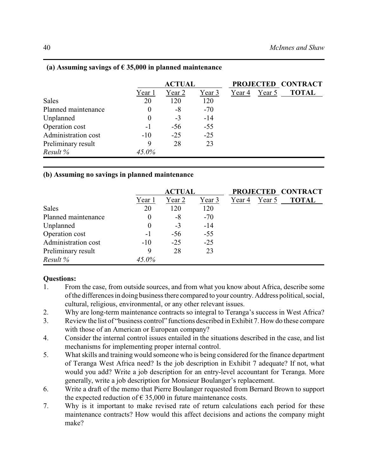|                     | <b>ACTUAL</b>    |        |        |        |        | PROJECTED CONTRACT |
|---------------------|------------------|--------|--------|--------|--------|--------------------|
|                     | Year 1           | Year 2 | Year 3 | Year 4 | Year 5 | <b>TOTAL</b>       |
| Sales               | 20               | 120    | 120    |        |        |                    |
| Planned maintenance | $\theta$         | $-8$   | $-70$  |        |        |                    |
| Unplanned           | $\boldsymbol{0}$ | $-3$   | $-14$  |        |        |                    |
| Operation cost      | $-1$             | $-56$  | $-55$  |        |        |                    |
| Administration cost | $-10$            | $-25$  | $-25$  |        |        |                    |
| Preliminary result  | 9                | 28     | 23     |        |        |                    |
| Result $%$          | $45.0\%$         |        |        |        |        |                    |

## **(a) Assuming savings of € 35,000 in planned maintenance**

## **(b) Assuming no savings in planned maintenance**

|                     |                  | <b>ACTUAL</b> |        |        |        | PROJECTED CONTRACT |
|---------------------|------------------|---------------|--------|--------|--------|--------------------|
|                     | Year 1           | Year 2        | Year 3 | Year 4 | Year 5 | <b>TOTAL</b>       |
| Sales               | 20               | 120           | 120    |        |        |                    |
| Planned maintenance | $\boldsymbol{0}$ | $-8$          | $-70$  |        |        |                    |
| Unplanned           | $\boldsymbol{0}$ | $-3$          | $-14$  |        |        |                    |
| Operation cost      | $-1$             | $-56$         | $-55$  |        |        |                    |
| Administration cost | $-10$            | $-25$         | $-25$  |        |        |                    |
| Preliminary result  | 9                | 28            | 23     |        |        |                    |
| Result $%$          | 45.0%            |               |        |        |        |                    |

## **Questions:**

- 1. From the case, from outside sources, and from what you know about Africa, describe some of the differences in doing business there compared to your country. Address political, social, cultural, religious, environmental, or any other relevant issues.
- 2. Why are long-term maintenance contracts so integral to Teranga's success in West Africa?
- 3. Review the list of "business control" functions described in Exhibit 7. How do these compare with those of an American or European company?
- 4. Consider the internal control issues entailed in the situations described in the case, and list mechanisms for implementing proper internal control.
- 5. What skills and training would someone who is being considered for the finance department of Teranga West Africa need? Is the job description in Exhibit 7 adequate? If not, what would you add? Write a job description for an entry-level accountant for Teranga. More generally, write a job description for Monsieur Boulanger's replacement.
- 6. Write a draft of the memo that Pierre Boulanger requested from Bernard Brown to support the expected reduction of  $\epsilon$  35,000 in future maintenance costs.
- 7. Why is it important to make revised rate of return calculations each period for these maintenance contracts? How would this affect decisions and actions the company might make?